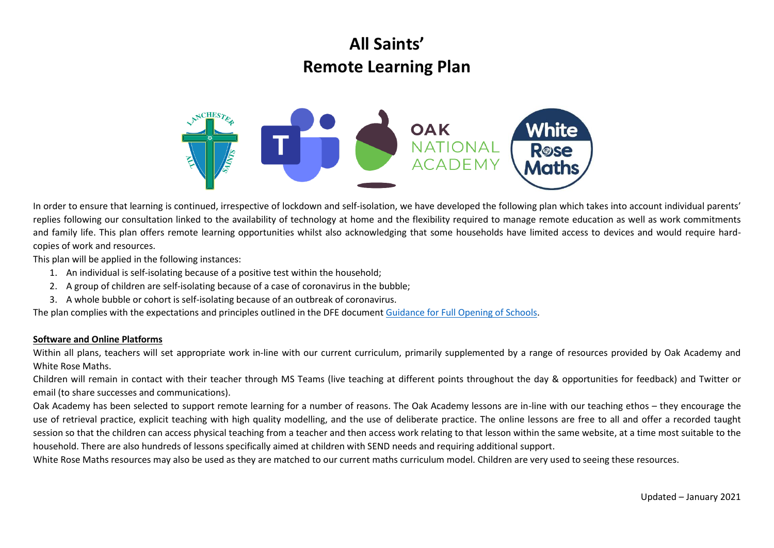# **All Saints' Remote Learning Plan**



In order to ensure that learning is continued, irrespective of lockdown and self-isolation, we have developed the following plan which takes into account individual parents' replies following our consultation linked to the availability of technology at home and the flexibility required to manage remote education as well as work commitments and family life. This plan offers remote learning opportunities whilst also acknowledging that some households have limited access to devices and would require hardcopies of work and resources.

This plan will be applied in the following instances:

- 1. An individual is self-isolating because of a positive test within the household;
- 2. A group of children are self-isolating because of a case of coronavirus in the bubble;
- 3. A whole bubble or cohort is self-isolating because of an outbreak of coronavirus.

The plan complies with the expectations and principles outlined in the DFE documen[t Guidance for Full Opening of Schools.](https://www.gov.uk/government/publications/actions-for-schools-during-the-coronavirus-outbreak/guidance-for-full-opening-schools#res)

#### **Software and Online Platforms**

Within all plans, teachers will set appropriate work in-line with our current curriculum, primarily supplemented by a range of resources provided by Oak Academy and White Rose Maths.

Children will remain in contact with their teacher through MS Teams (live teaching at different points throughout the day & opportunities for feedback) and Twitter or email (to share successes and communications).

Oak Academy has been selected to support remote learning for a number of reasons. The Oak Academy lessons are in-line with our teaching ethos – they encourage the use of retrieval practice, explicit teaching with high quality modelling, and the use of deliberate practice. The online lessons are free to all and offer a recorded taught session so that the children can access physical teaching from a teacher and then access work relating to that lesson within the same website, at a time most suitable to the household. There are also hundreds of lessons specifically aimed at children with SEND needs and requiring additional support.

White Rose Maths resources may also be used as they are matched to our current maths curriculum model. Children are very used to seeing these resources.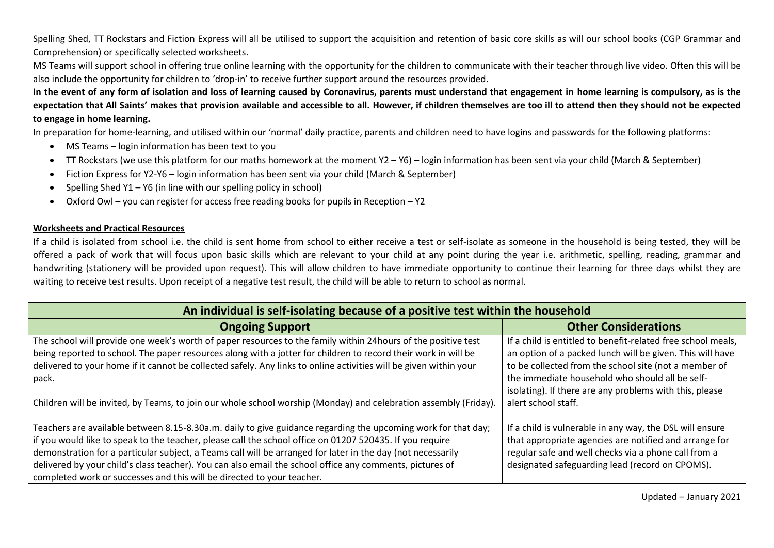Spelling Shed, TT Rockstars and Fiction Express will all be utilised to support the acquisition and retention of basic core skills as will our school books (CGP Grammar and Comprehension) or specifically selected worksheets.

MS Teams will support school in offering true online learning with the opportunity for the children to communicate with their teacher through live video. Often this will be also include the opportunity for children to 'drop-in' to receive further support around the resources provided.

**In the event of any form of isolation and loss of learning caused by Coronavirus, parents must understand that engagement in home learning is compulsory, as is the expectation that All Saints' makes that provision available and accessible to all. However, if children themselves are too ill to attend then they should not be expected to engage in home learning.**

In preparation for home-learning, and utilised within our 'normal' daily practice, parents and children need to have logins and passwords for the following platforms:

- MS Teams login information has been text to you
- TT Rockstars (we use this platform for our maths homework at the moment Y2 Y6) login information has been sent via your child (March & September)
- Fiction Express for Y2-Y6 login information has been sent via your child (March & September)
- Spelling Shed Y1 Y6 (in line with our spelling policy in school)
- Oxford Owl you can register for access free reading books for pupils in Reception Y2

#### **Worksheets and Practical Resources**

If a child is isolated from school i.e. the child is sent home from school to either receive a test or self-isolate as someone in the household is being tested, they will be offered a pack of work that will focus upon basic skills which are relevant to your child at any point during the year i.e. arithmetic, spelling, reading, grammar and handwriting (stationery will be provided upon request). This will allow children to have immediate opportunity to continue their learning for three days whilst they are waiting to receive test results. Upon receipt of a negative test result, the child will be able to return to school as normal.

| An individual is self-isolating because of a positive test within the household                                                                                                                                                                                                                                                                                                                                                                                                                                                |                                                                                                                                                                                                                               |  |
|--------------------------------------------------------------------------------------------------------------------------------------------------------------------------------------------------------------------------------------------------------------------------------------------------------------------------------------------------------------------------------------------------------------------------------------------------------------------------------------------------------------------------------|-------------------------------------------------------------------------------------------------------------------------------------------------------------------------------------------------------------------------------|--|
| <b>Ongoing Support</b>                                                                                                                                                                                                                                                                                                                                                                                                                                                                                                         | <b>Other Considerations</b>                                                                                                                                                                                                   |  |
| The school will provide one week's worth of paper resources to the family within 24hours of the positive test<br>being reported to school. The paper resources along with a jotter for children to record their work in will be<br>delivered to your home if it cannot be collected safely. Any links to online activities will be given within your                                                                                                                                                                           | If a child is entitled to benefit-related free school meals,<br>an option of a packed lunch will be given. This will have<br>to be collected from the school site (not a member of                                            |  |
| pack.                                                                                                                                                                                                                                                                                                                                                                                                                                                                                                                          | the immediate household who should all be self-<br>isolating). If there are any problems with this, please                                                                                                                    |  |
| Children will be invited, by Teams, to join our whole school worship (Monday) and celebration assembly (Friday).                                                                                                                                                                                                                                                                                                                                                                                                               | alert school staff.                                                                                                                                                                                                           |  |
| Teachers are available between 8.15-8.30a.m. daily to give guidance regarding the upcoming work for that day;<br>if you would like to speak to the teacher, please call the school office on 01207 520435. If you require<br>demonstration for a particular subject, a Teams call will be arranged for later in the day (not necessarily<br>delivered by your child's class teacher). You can also email the school office any comments, pictures of<br>completed work or successes and this will be directed to your teacher. | If a child is vulnerable in any way, the DSL will ensure<br>that appropriate agencies are notified and arrange for<br>regular safe and well checks via a phone call from a<br>designated safeguarding lead (record on CPOMS). |  |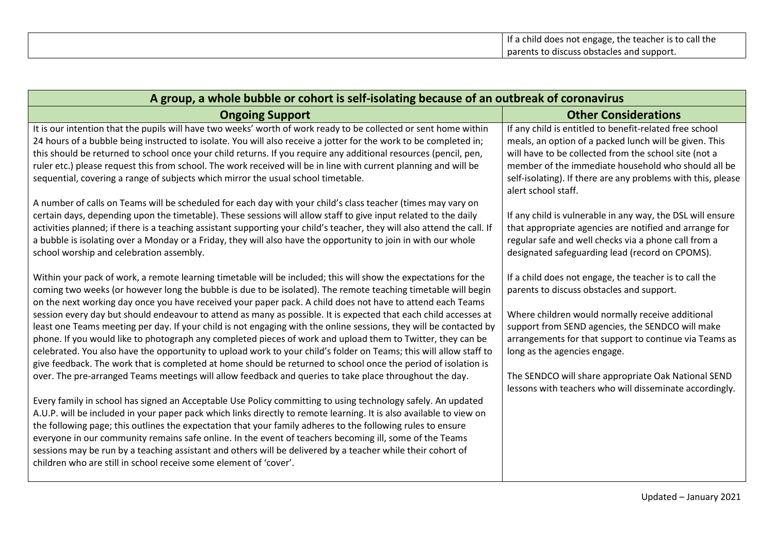| A group, a whole bubble or cohort is self-isolating because of an outbreak of coronavirus                                                                                                                                                                                                                                                                                                                                                                                                                                                                                                                                                                                                                                                                                                                                                                                                                                                                                                                                                                                                                                                                                  |                                                                                                                                                                                                                                                                                                                                                                                                                         |  |
|----------------------------------------------------------------------------------------------------------------------------------------------------------------------------------------------------------------------------------------------------------------------------------------------------------------------------------------------------------------------------------------------------------------------------------------------------------------------------------------------------------------------------------------------------------------------------------------------------------------------------------------------------------------------------------------------------------------------------------------------------------------------------------------------------------------------------------------------------------------------------------------------------------------------------------------------------------------------------------------------------------------------------------------------------------------------------------------------------------------------------------------------------------------------------|-------------------------------------------------------------------------------------------------------------------------------------------------------------------------------------------------------------------------------------------------------------------------------------------------------------------------------------------------------------------------------------------------------------------------|--|
| <b>Ongoing Support</b>                                                                                                                                                                                                                                                                                                                                                                                                                                                                                                                                                                                                                                                                                                                                                                                                                                                                                                                                                                                                                                                                                                                                                     | <b>Other Considerations</b>                                                                                                                                                                                                                                                                                                                                                                                             |  |
| It is our intention that the pupils will have two weeks' worth of work ready to be collected or sent home within<br>24 hours of a bubble being instructed to isolate. You will also receive a jotter for the work to be completed in;<br>this should be returned to school once your child returns. If you require any additional resources (pencil, pen,<br>ruler etc.) please request this from school. The work received will be in line with current planning and will be<br>sequential, covering a range of subjects which mirror the usual school timetable.                                                                                                                                                                                                                                                                                                                                                                                                                                                                                                                                                                                                         | If any child is entitled to benefit-related free school<br>meals, an option of a packed lunch will be given. This<br>will have to be collected from the school site (not a<br>member of the immediate household who should all be<br>self-isolating). If there are any problems with this, please<br>alert school staff.                                                                                                |  |
| A number of calls on Teams will be scheduled for each day with your child's class teacher (times may vary on<br>certain days, depending upon the timetable). These sessions will allow staff to give input related to the daily<br>activities planned; if there is a teaching assistant supporting your child's teacher, they will also attend the call. If<br>a bubble is isolating over a Monday or a Friday, they will also have the opportunity to join in with our whole<br>school worship and celebration assembly.                                                                                                                                                                                                                                                                                                                                                                                                                                                                                                                                                                                                                                                  | If any child is vulnerable in any way, the DSL will ensure<br>that appropriate agencies are notified and arrange for<br>regular safe and well checks via a phone call from a<br>designated safeguarding lead (record on CPOMS).                                                                                                                                                                                         |  |
| Within your pack of work, a remote learning timetable will be included; this will show the expectations for the<br>coming two weeks (or however long the bubble is due to be isolated). The remote teaching timetable will begin<br>on the next working day once you have received your paper pack. A child does not have to attend each Teams<br>session every day but should endeavour to attend as many as possible. It is expected that each child accesses at<br>least one Teams meeting per day. If your child is not engaging with the online sessions, they will be contacted by<br>phone. If you would like to photograph any completed pieces of work and upload them to Twitter, they can be<br>celebrated. You also have the opportunity to upload work to your child's folder on Teams; this will allow staff to<br>give feedback. The work that is completed at home should be returned to school once the period of isolation is<br>over. The pre-arranged Teams meetings will allow feedback and queries to take place throughout the day.<br>Every family in school has signed an Acceptable Use Policy committing to using technology safely. An updated | If a child does not engage, the teacher is to call the<br>parents to discuss obstacles and support.<br>Where children would normally receive additional<br>support from SEND agencies, the SENDCO will make<br>arrangements for that support to continue via Teams as<br>long as the agencies engage.<br>The SENDCO will share appropriate Oak National SEND<br>lessons with teachers who will disseminate accordingly. |  |
| A.U.P. will be included in your paper pack which links directly to remote learning. It is also available to view on<br>the following page; this outlines the expectation that your family adheres to the following rules to ensure<br>everyone in our community remains safe online. In the event of teachers becoming ill, some of the Teams<br>sessions may be run by a teaching assistant and others will be delivered by a teacher while their cohort of<br>children who are still in school receive some element of 'cover'.                                                                                                                                                                                                                                                                                                                                                                                                                                                                                                                                                                                                                                          |                                                                                                                                                                                                                                                                                                                                                                                                                         |  |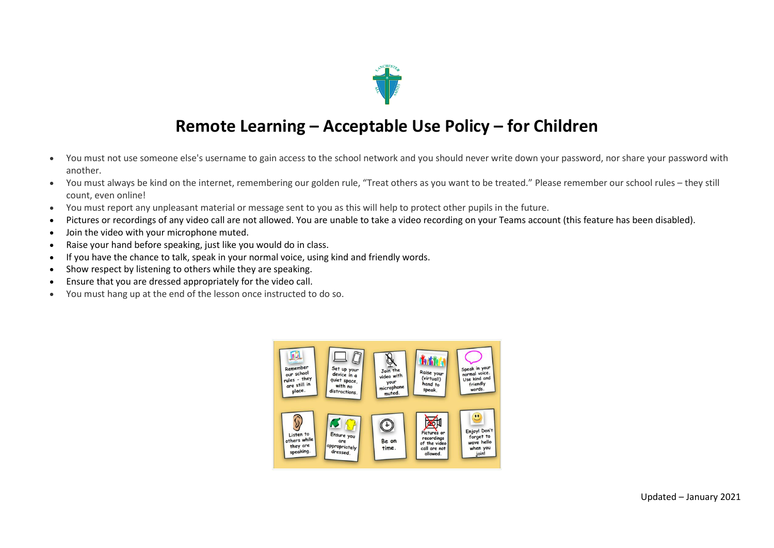

### **Remote Learning – Acceptable Use Policy – for Children**

- You must not use someone else's username to gain access to the school network and you should never write down your password, nor share your password with another.
- You must always be kind on the internet, remembering our golden rule, "Treat others as you want to be treated." Please remember our school rules they still count, even online!
- You must report any unpleasant material or message sent to you as this will help to protect other pupils in the future.
- Pictures or recordings of any video call are not allowed. You are unable to take a video recording on your Teams account (this feature has been disabled).
- Join the video with your microphone muted.
- Raise your hand before speaking, just like you would do in class.
- If you have the chance to talk, speak in your normal voice, using kind and friendly words.
- Show respect by listening to others while they are speaking.
- Ensure that you are dressed appropriately for the video call.
- You must hang up at the end of the lesson once instructed to do so.